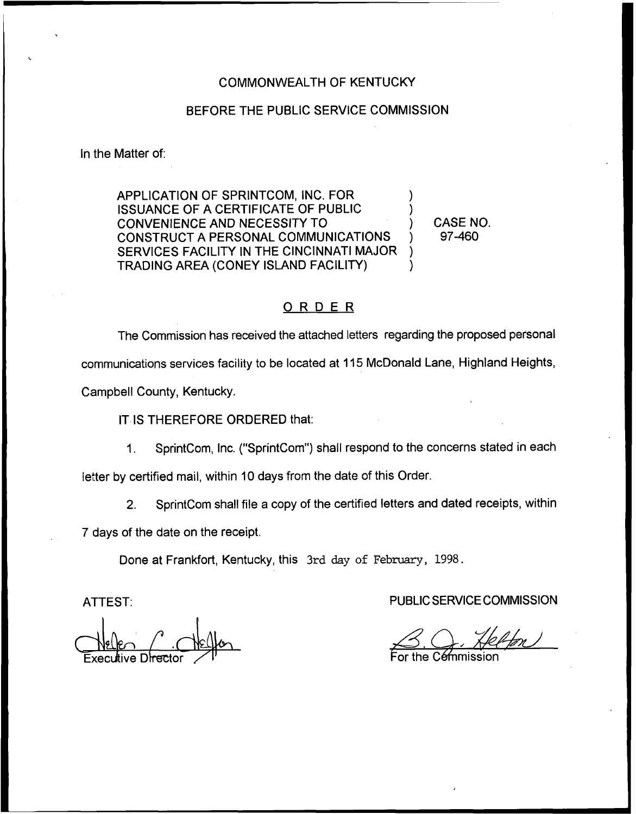## COMMONWEALTH OF KENTUCKY

## BEFORE THE PUBLIC SERVICE COMMISSION

In the Matter of:

APPLICATION OF SPRINTCOM, INC. FOR ) ISSUANCE OF A CERTIFICATE OF PUBLIC ) CONVENIENCE AND NECESSITY TO ) CONSTRUCT A PERSONAL COMMUNICATIONS ) SERVICES FACILITY IN THE CINCINNATI MAJOR TRADING AREA (CONEY ISLAND FACILITY) )

CASE NO. 97-460

## ORDER

The Commission has received the attached letters regarding the proposed personal communications services facility to be located at 115McDonald Lane, Highland Heights, Campbell County, Kentucky.

IT IS THEREFORE ORDERED that:

1. SprintCom, Inc. ("SprintCom") shall respond to the concerns stated in each

letter by certified mail, within 10 days from the date of this Order.

2. SprintCom shall file a copy of the certified letters and dated receipts, within

7 days of the date on the receipt.

Done at Frankfort, Kentucky, this 3xd day of February, 1998.

ATTEST:

Recyflive Drec Execultive Di<del>rec</del>to

PUBLIC SERVICE COMMISSION

For the Cémmissio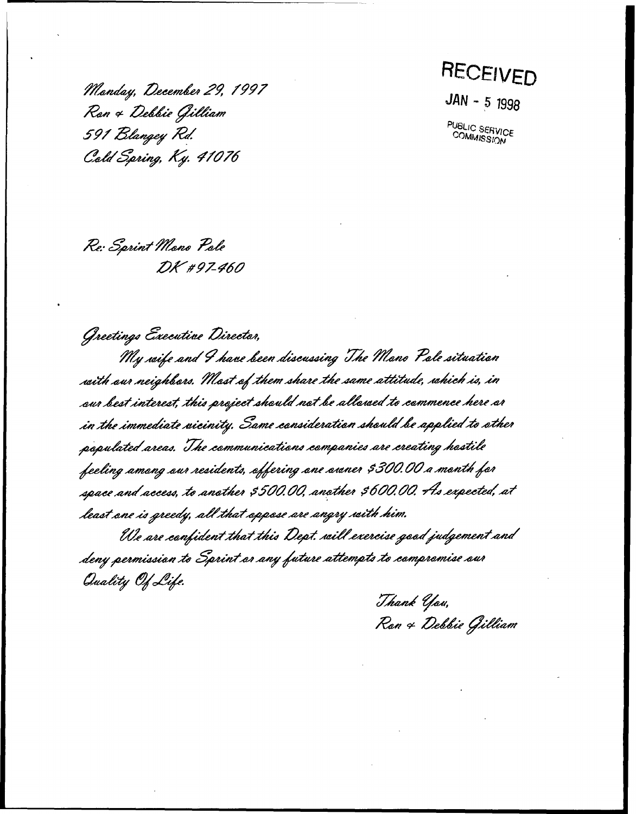Monday, December 29, 199*1*<br>Ran 4 Debbie Gilliam 591 Blangey Rd.<br>Cold Spring, Ky. 41076

RECEIVED

 $JAN - 5 1996$ 

PUBLIC SERVICE<br>COMMISSION

Re: Sprint Mano Pale DK #97-460

My wife and I have been discussing The Mano Pale situation Greetings Executive Director, with our neighbars. Most of them share the same attitude, which is, in aur best interest, this project should not be allowed to commence here ar<br>in the immediate wicinity. Same consideration should be applied to other<br>populated areas. The communications companies are creating hostile feeling among our residents, offering one awner \$300.00 a month for space and access, to another \$500.00, another \$600.00. As expected, at

least ane is greedy, all that appase are angry with him.<br>Ule are confident that this Dept, will exercise good judgement and<br>deny permission to Sprint ar any future attempts to compromise our Quality Of Life.

Thank You, 'Thank Yau,<br>Ran 4 Debbie Gillii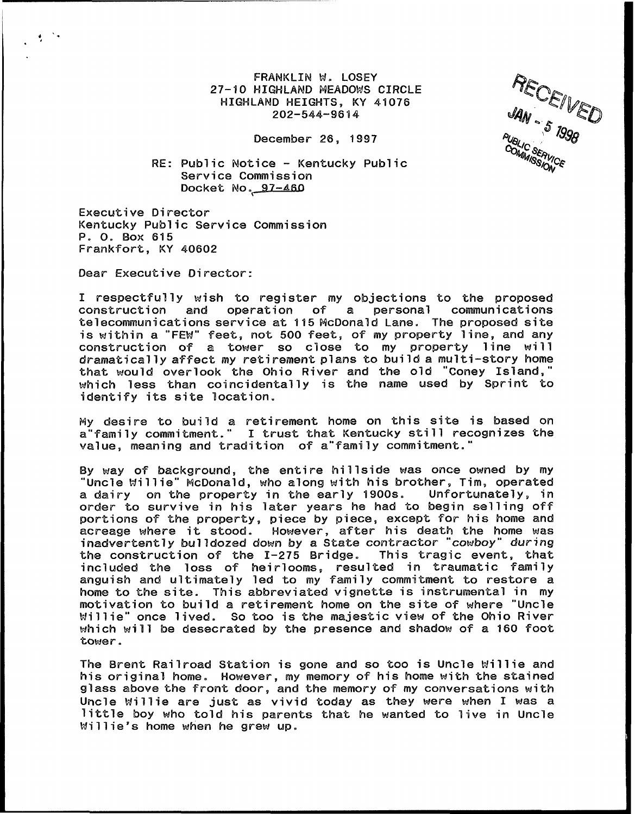FRANKLIN M. LOSEY 27-10 HIGHLAND MEADOMS CIRCLE HIGHLAND HEIGHTS, KY 41076 202-544-96il4

JSERVICE

December 26, 1997

## RE: Public Notice — Kentucky Public Service Commission Docket No. 97-460

Executive Director Kentucky Public Service Commission P. O. Box 615 Frankfort, KY 40602

Dear Executive Director:

 $\frac{1}{2}$  ,  $\frac{1}{2}$ 

I respectfully wish to register my objections to the proposed<br>construction and operation of a personal communications construction and telecommunications service at 115 McDonald Lane. The proposed site is within a "FEM" feet, not 500 feet, of my property line, and any construction of a tower so close to my property line will dramatically affect my retirement plans to build a multi-story home that would overlook the Ohio River and the old "Coney Island," which less then coincidentally is the name used by Sprint to identify its site location.

Hy desire to builld a retirement home on this site is based on a"family commitment." I trust that Kentucky still recognizes the value, meaning and tradition of a family commitment.

By way of background, Che entire hillside was once owned by my "Uncle Millie" HCDonald, who along with his brother, Tim, operated a dairy on the property in the early 1900s. order to survive in his later years he had to begin selling off portions of the property, piece by piece, except for his home and acreage where it stood. However, after his death the home was inadvertently bulldozed down by a State contractor 'cowboy" during the construction of the  $I-275$  Bridge. This tragic event, that included the loss of heirlooms, resulted in traumatic family anguish and ultimately led to my family commitment to restore a home to the site. This abbreviated vignette is instrumental in my motivation to build a retirement home on the site of where "Uncle Millie" once lived. So Coo is Che majestic view of the Ohio River which will be desecrated by the presence and shadow of a 160 foot Cower.

The Brent Railroad Station is gone and so Coo is Uncle Millie and his original home. However, my memory of his home with the stained glass above the front door, and the memory of my conversations with Uncle Millie are just as vivid today as they were when I was a little boy who Cold his parents that he wanted to live in Uncle Millie's home when he grew up.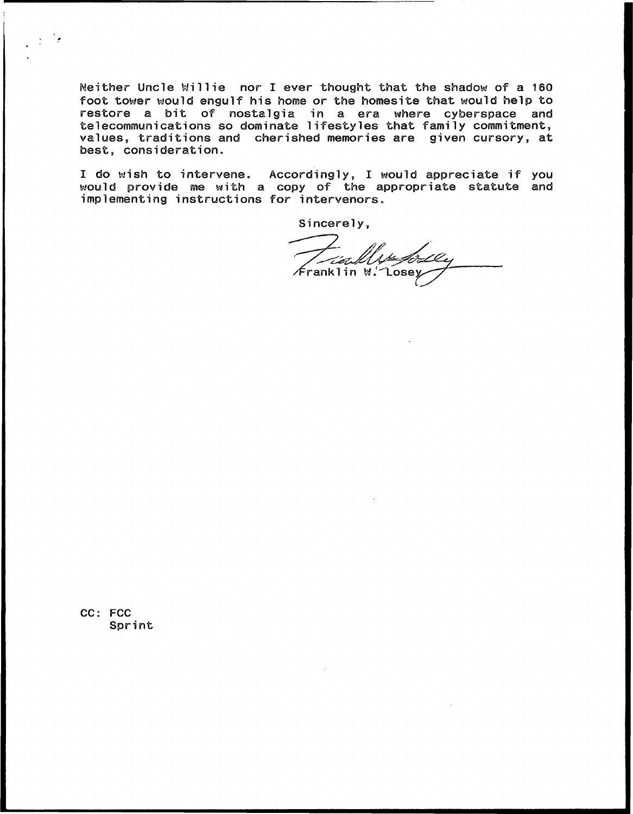Neither Uncle Millie nor I ever thought that the shadow of a 160 foot tower would engulf his home or the homesite that would help to restore a bit of nostalgia in a era where cyberspace and telecommunications so dominate lifestyles that family commitmen values, traditions and cherished memories are given cursory, at best, consideration.

I do wish to intervene. Accordingly, I would appreciate if you would provide me with a copy of the appropriate statute and implementing instructions for intervenors.

Sincerely,

Franklin W. Losey

CC: FCC Spr int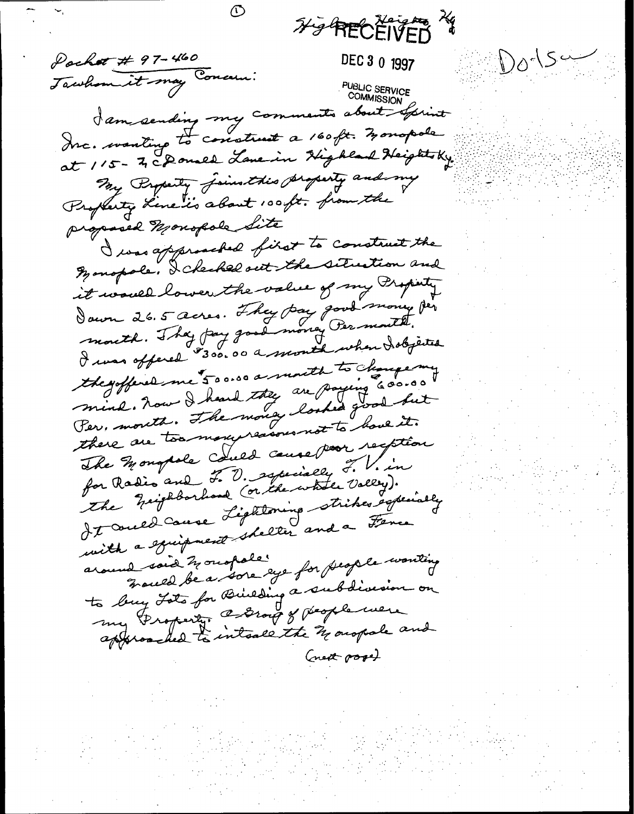Hy RECEIVED Pachet # 97-460  $100154$ DEC 3 0 1997 Jawhom it may Concern: PUBLIC SERVICE<br>COMMISSION I am sending my comments about Sprint at 115 - In choused Lave in Highland Heightsky. My Property Joinsthis Superty and my Propherty Line is about 100 ft. from the proposed Monopole Site I was approached fixet to construct the Monopole, I checked out the situation and it would lower the value of my Property Sawn 26.5 acres. They pay good money per mouth. They pay good money Per mouth. I was offered \$300.00 a month when I objected the goffered me 500.00 a mouth to change my mind. Nous I heard they are paying 600.00 Per, month. The money looked good but there are too mongeressous not to have it. The Mongole could cause voor recption for Radio and F. D. squially F. V. in It auce Lightoning strikes especially with a spierpment shelter and a Fence France de a sore eye for people wonting around said houspale to buy Lots for Building a subdivision on my Groperty. Conor of people were approached to inteale the 31 orapale and Creat pool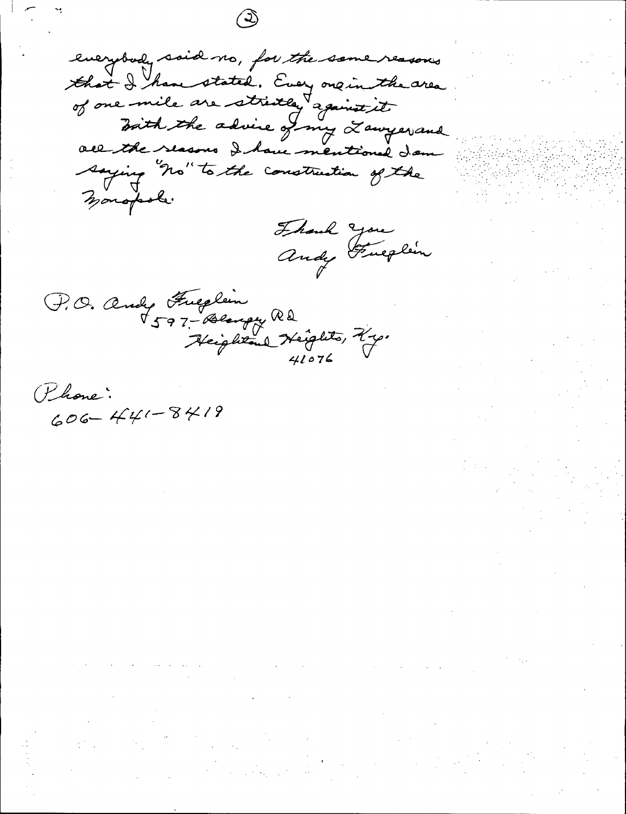everybody said no, for the same reasons that I have stated. Every one in the area all the slasons I have mentioned dam saying "no" to the construction of the monopole.

Frank you<br>andy Fulplen

P.O. andy Fueglin<br>1597-Bengy Rd<br>Heightond Keights, Ky.

Phone:  $606 - 441 - 8419$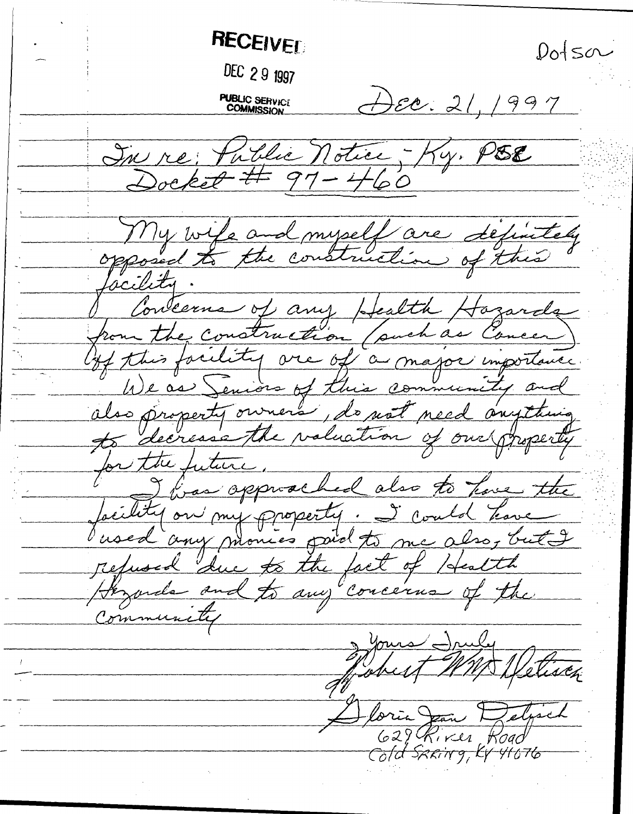**RECEIVED**  $D_0$  sa DEC 29 1997 DEC: 21, 1997 **PUBLIC SERVICE**<br>COMMISSION In re: Public Notice - Ky. PSE My wife and myself are définitely Concerns of any Health Hozards from the construction (such as Concer) des property owners, de not need anyway for the futur I finan opproached also to have the Jocility on my property. I could have refused due to the fact of Health of the Community 1 yours Iruly MWDL foria Jean 7 629 River Road